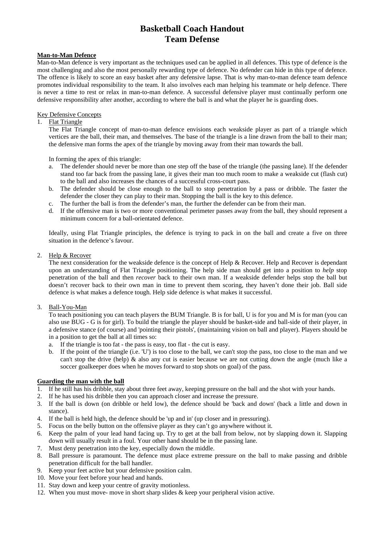# **Man-to-Man Defence**

Man-to-Man defence is very important as the techniques used can be applied in all defences. This type of defence is the most challenging and also the most personally rewarding type of defence. No defender can hide in this type of defence. The offence is likely to score an easy basket after any defensive lapse. That is why man-to-man defence team defence promotes individual responsibility to the team. It also involves each man helping his teammate or help defence. There is never a time to rest or relax in man-to-man defence. A successful defensive player must continually perform one defensive responsibility after another, according to where the ball is and what the player he is guarding does.

## Key Defensive Concepts

## 1. Flat Triangle

The Flat Triangle concept of man-to-man defence envisions each weakside player as part of a triangle which vertices are the ball, their man, and themselves. The base of the triangle is a line drawn from the ball to their man; the defensive man forms the apex of the triangle by moving away from their man towards the ball.

In forming the apex of this triangle:

- a. The defender should never be more than one step off the base of the triangle (the passing lane). If the defender stand too far back from the passing lane, it gives their man too much room to make a weakside cut (flash cut) to the ball and also increases the chances of a successful cross-court pass.
- b. The defender should be close enough to the ball to stop penetration by a pass or dribble. The faster the defender the closer they can play to their man. Stopping the ball is the key to this defence.
- c. The further the ball is from the defender's man, the further the defender can be from their man.
- d. If the offensive man is two or more conventional perimeter passes away from the ball, they should represent a minimum concern for a ball-orientated defence.

Ideally, using Flat Triangle principles, the defence is trying to pack in on the ball and create a five on three situation in the defence's favour.

#### 2. Help & Recover

The next consideration for the weakside defence is the concept of Help & Recover. Help and Recover is dependant upon an understanding of Flat Triangle positioning. The help side man should get into a position to *help* stop penetration of the ball and then *recover* back to their own man. If a weakside defender helps stop the ball but doesn't recover back to their own man in time to prevent them scoring, they haven't done their job. Ball side defence is what makes a defence tough. Help side defence is what makes it successful.

### 3. Ball-You-Man

To teach positioning you can teach players the BUM Triangle. B is for ball, U is for you and M is for man (you can also use BUG - G is for girl). To build the triangle the player should be basket-side and ball-side of their player, in a defensive stance (of course) and 'pointing their pistols', (maintaining vision on ball and player). Players should be in a position to get the ball at all times so:

- a. If the triangle is too fat the pass is easy, too flat the cut is easy.
- b. If the point of the triangle (i.e. 'U') is too close to the ball, we can't stop the pass, too close to the man and we can't stop the drive (help) & also any cut is easier because we are not cutting down the angle (much like a soccer goalkeeper does when he moves forward to stop shots on goal) of the pass.

### **Guarding the man with the ball**

- 1. If he still has his dribble, stay about three feet away, keeping pressure on the ball and the shot with your hands.
- 2. If he has used his dribble then you can approach closer and increase the pressure.
- 3. If the ball is down (on dribble or held low), the defence should be 'back and down' (back a little and down in stance).
- 4. If the ball is held high, the defence should be 'up and in' (up closer and in pressuring).
- 5. Focus on the belly button on the offensive player as they can't go anywhere without it.
- 6. Keep the palm of your lead hand facing up. Try to get at the ball from below, not by slapping down it. Slapping down will usually result in a foul. Your other hand should be in the passing lane.
- 7. Must deny penetration into the key, especially down the middle.
- 8. Ball pressure is paramount. The defence must place extreme pressure on the ball to make passing and dribble penetration difficult for the ball handler.
- 9. Keep your feet active but your defensive position calm.
- 10. Move your feet before your head and hands.
- 11. Stay down and keep your centre of gravity motionless.
- 12. When you must move- move in short sharp slides & keep your peripheral vision active.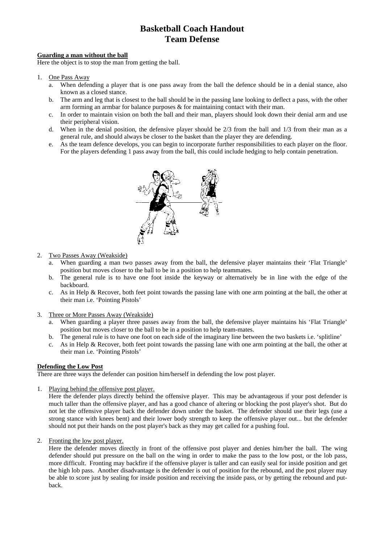### **Guarding a man without the ball**

Here the object is to stop the man from getting the ball.

- 1. One Pass Away
	- a. When defending a player that is one pass away from the ball the defence should be in a denial stance, also known as a closed stance.
	- b. The arm and leg that is closest to the ball should be in the passing lane looking to deflect a pass, with the other arm forming an armbar for balance purposes & for maintaining contact with their man.
	- c. In order to maintain vision on both the ball and their man, players should look down their denial arm and use their peripheral vision.
	- d. When in the denial position, the defensive player should be  $2/3$  from the ball and  $1/3$  from their man as a general rule, and should always be closer to the basket than the player they are defending.
	- e. As the team defence develops, you can begin to incorporate further responsibilities to each player on the floor. For the players defending 1 pass away from the ball, this could include hedging to help contain penetration.



#### 2. Two Passes Away (Weakside)

- a. When guarding a man two passes away from the ball, the defensive player maintains their 'Flat Triangle' position but moves closer to the ball to be in a position to help teammates.
- b. The general rule is to have one foot inside the keyway or alternatively be in line with the edge of the backboard.
- c. As in Help & Recover, both feet point towards the passing lane with one arm pointing at the ball, the other at their man i.e. 'Pointing Pistols'
- 3. Three or More Passes Away (Weakside)
	- a. When guarding a player three passes away from the ball, the defensive player maintains his 'Flat Triangle' position but moves closer to the ball to be in a position to help team-mates.
	- b. The general rule is to have one foot on each side of the imaginary line between the two baskets i.e. 'splitline'
	- c. As in Help & Recover, both feet point towards the passing lane with one arm pointing at the ball, the other at their man i.e. 'Pointing Pistols'

#### **Defending the Low Post**

There are three ways the defender can position him/herself in defending the low post player.

1. Playing behind the offensive post player.

Here the defender plays directly behind the offensive player. This may be advantageous if your post defender is much taller than the offensive player, and has a good chance of altering or blocking the post player's shot. But do not let the offensive player back the defender down under the basket. The defender should use their legs (use a strong stance with knees bent) and their lower body strength to keep the offensive player out... but the defender should not put their hands on the post player's back as they may get called for a pushing foul.

2. Fronting the low post player.

Here the defender moves directly in front of the offensive post player and denies him/her the ball. The wing defender should put pressure on the ball on the wing in order to make the pass to the low post, or the lob pass, more difficult. Fronting may backfire if the offensive player is taller and can easily seal for inside position and get the high lob pass. Another disadvantage is the defender is out of position for the rebound, and the post player may be able to score just by sealing for inside position and receiving the inside pass, or by getting the rebound and putback.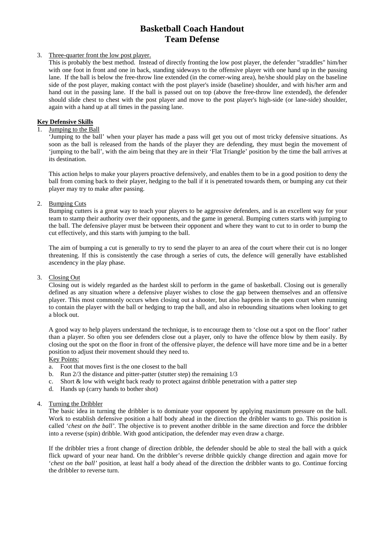# 3. Three-quarter front the low post player.

This is probably the best method. Instead of directly fronting the low post player, the defender "straddles" him/her with one foot in front and one in back, standing sideways to the offensive player with one hand up in the passing lane. If the ball is below the free-throw line extended (in the corner-wing area), he/she should play on the baseline side of the post player, making contact with the post player's inside (baseline) shoulder, and with his/her arm and hand out in the passing lane. If the ball is passed out on top (above the free-throw line extended), the defender should slide chest to chest with the post player and move to the post player's high-side (or lane-side) shoulder, again with a hand up at all times in the passing lane.

# **Key Defensive Skills**

## Jumping to the Ball

'Jumping to the ball' when your player has made a pass will get you out of most tricky defensive situations. As soon as the ball is released from the hands of the player they are defending, they must begin the movement of 'jumping to the ball', with the aim being that they are in their 'Flat Triangle' position by the time the ball arrives at its destination.

This action helps to make your players proactive defensively, and enables them to be in a good position to deny the ball from coming back to their player, hedging to the ball if it is penetrated towards them, or bumping any cut their player may try to make after passing.

# 2. Bumping Cuts

Bumping cutters is a great way to teach your players to be aggressive defenders, and is an excellent way for your team to stamp their authority over their opponents, and the game in general. Bumping cutters starts with jumping to the ball. The defensive player must be between their opponent and where they want to cut to in order to bump the cut effectively, and this starts with jumping to the ball.

The aim of bumping a cut is generally to try to send the player to an area of the court where their cut is no longer threatening. If this is consistently the case through a series of cuts, the defence will generally have established ascendency in the play phase.

## 3. Closing Out

Closing out is widely regarded as the hardest skill to perform in the game of basketball. Closing out is generally defined as any situation where a defensive player wishes to close the gap between themselves and an offensive player. This most commonly occurs when closing out a shooter, but also happens in the open court when running to contain the player with the ball or hedging to trap the ball, and also in rebounding situations when looking to get a block out.

A good way to help players understand the technique, is to encourage them to 'close out a spot on the floor' rather than a player. So often you see defenders close out a player, only to have the offence blow by them easily. By closing out the spot on the floor in front of the offensive player, the defence will have more time and be in a better position to adjust their movement should they need to.

Key Points:

- a. Foot that moves first is the one closest to the ball
- b. Run 2/3 the distance and pitter-patter (stutter step) the remaining 1/3
- c. Short & low with weight back ready to protect against dribble penetration with a patter step
- d. Hands up (carry hands to bother shot)

### 4. Turning the Dribbler

The basic idea in turning the dribbler is to dominate your opponent by applying maximum pressure on the ball. Work to establish defensive position a half body ahead in the direction the dribbler wants to go. This position is called '*chest on the ball'*. The objective is to prevent another dribble in the same direction and force the dribbler into a reverse (spin) dribble. With good anticipation, the defender may even draw a charge.

If the dribbler tries a front change of direction dribble, the defender should be able to steal the ball with a quick flick upward of your near hand. On the dribbler's reverse dribble quickly change direction and again move for '*chest on the ball'* position, at least half a body ahead of the direction the dribbler wants to go. Continue forcing the dribbler to reverse turn.